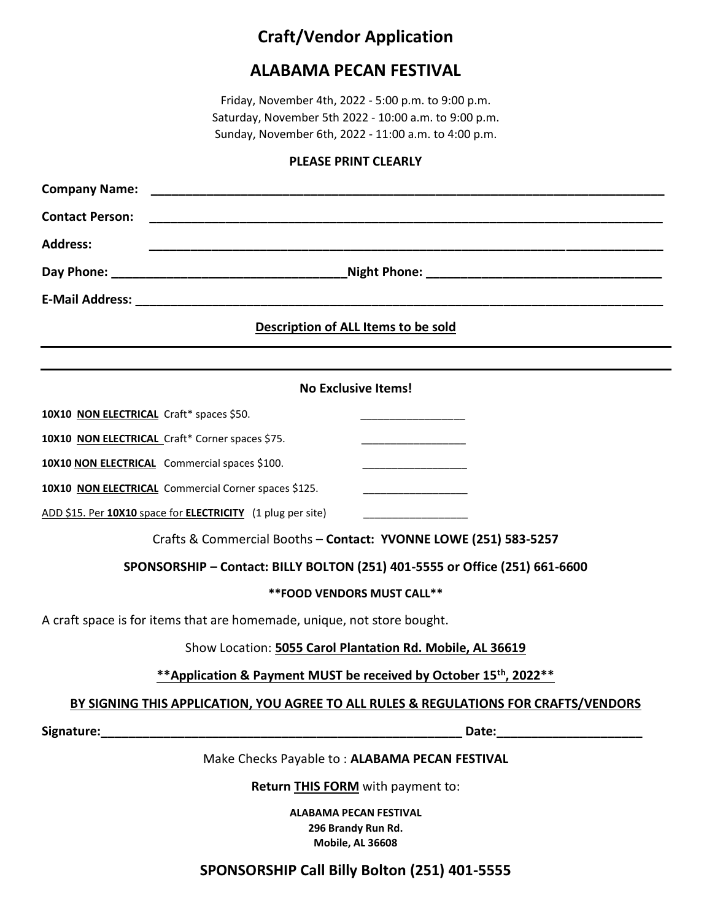# **Craft/Vendor Application**

# **ALABAMA PECAN FESTIVAL**

Friday, November 4th, 2022 - 5:00 p.m. to 9:00 p.m. Saturday, November 5th 2022 - 10:00 a.m. to 9:00 p.m. Sunday, November 6th, 2022 - 11:00 a.m. to 4:00 p.m.

#### **PLEASE PRINT CLEARLY**

| <b>Company Name:</b>                                                                 |                                                                         |                                                                                                                                                                                                                                |  |  |
|--------------------------------------------------------------------------------------|-------------------------------------------------------------------------|--------------------------------------------------------------------------------------------------------------------------------------------------------------------------------------------------------------------------------|--|--|
| <b>Contact Person:</b>                                                               |                                                                         |                                                                                                                                                                                                                                |  |  |
| <b>Address:</b>                                                                      |                                                                         |                                                                                                                                                                                                                                |  |  |
|                                                                                      |                                                                         |                                                                                                                                                                                                                                |  |  |
|                                                                                      |                                                                         |                                                                                                                                                                                                                                |  |  |
| Description of ALL Items to be sold                                                  |                                                                         |                                                                                                                                                                                                                                |  |  |
|                                                                                      |                                                                         |                                                                                                                                                                                                                                |  |  |
| <b>No Exclusive Items!</b>                                                           |                                                                         |                                                                                                                                                                                                                                |  |  |
| 10X10 NON ELECTRICAL Craft* spaces \$50.                                             |                                                                         |                                                                                                                                                                                                                                |  |  |
| 10X10 NON ELECTRICAL Craft* Corner spaces \$75.                                      |                                                                         |                                                                                                                                                                                                                                |  |  |
| 10X10 NON ELECTRICAL Commercial spaces \$100.                                        |                                                                         |                                                                                                                                                                                                                                |  |  |
| 10X10 NON ELECTRICAL Commercial Corner spaces \$125.                                 |                                                                         |                                                                                                                                                                                                                                |  |  |
| ADD \$15. Per 10X10 space for <b>ELECTRICITY</b> (1 plug per site)                   |                                                                         |                                                                                                                                                                                                                                |  |  |
| Crafts & Commercial Booths - Contact: YVONNE LOWE (251) 583-5257                     |                                                                         |                                                                                                                                                                                                                                |  |  |
| SPONSORSHIP - Contact: BILLY BOLTON (251) 401-5555 or Office (251) 661-6600          |                                                                         |                                                                                                                                                                                                                                |  |  |
| ** FOOD VENDORS MUST CALL **                                                         |                                                                         |                                                                                                                                                                                                                                |  |  |
| A craft space is for items that are homemade, unique, not store bought.              |                                                                         |                                                                                                                                                                                                                                |  |  |
| Show Location: 5055 Carol Plantation Rd. Mobile, AL 36619                            |                                                                         |                                                                                                                                                                                                                                |  |  |
| ** Application & Payment MUST be received by October 15 <sup>th</sup> , 2022**       |                                                                         |                                                                                                                                                                                                                                |  |  |
| BY SIGNING THIS APPLICATION, YOU AGREE TO ALL RULES & REGULATIONS FOR CRAFTS/VENDORS |                                                                         |                                                                                                                                                                                                                                |  |  |
|                                                                                      |                                                                         | Date: the contract of the contract of the contract of the contract of the contract of the contract of the contract of the contract of the contract of the contract of the contract of the contract of the contract of the cont |  |  |
|                                                                                      | Make Checks Payable to: ALABAMA PECAN FESTIVAL                          |                                                                                                                                                                                                                                |  |  |
| Return THIS FORM with payment to:                                                    |                                                                         |                                                                                                                                                                                                                                |  |  |
|                                                                                      | <b>ALABAMA PECAN FESTIVAL</b><br>296 Brandy Run Rd.<br>Mobile, AL 36608 |                                                                                                                                                                                                                                |  |  |
|                                                                                      | SPONSORSHIP Call Billy Bolton (251) 401-5555                            |                                                                                                                                                                                                                                |  |  |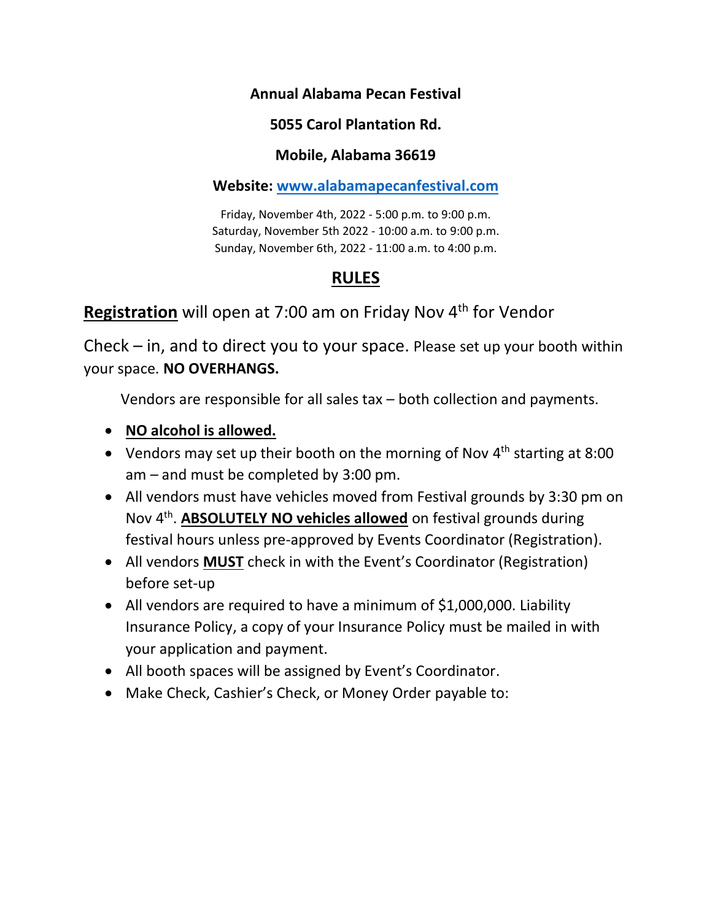## **Annual Alabama Pecan Festival**

# **5055 Carol Plantation Rd.**

## **Mobile, Alabama 36619**

## **Website: [www.alabamapecanfestival.com](http://www.alabamapecanfestival.com/)**

Friday, November 4th, 2022 - 5:00 p.m. to 9:00 p.m. Saturday, November 5th 2022 - 10:00 a.m. to 9:00 p.m. Sunday, November 6th, 2022 - 11:00 a.m. to 4:00 p.m.

# **RULES**

# Registration will open at 7:00 am on Friday Nov 4<sup>th</sup> for Vendor

Check – in, and to direct you to your space. Please set up your booth within your space. **NO OVERHANGS.**

Vendors are responsible for all sales tax – both collection and payments.

- **NO alcohol is allowed.**
- Vendors may set up their booth on the morning of Nov 4<sup>th</sup> starting at 8:00 am – and must be completed by 3:00 pm.
- All vendors must have vehicles moved from Festival grounds by 3:30 pm on Nov 4<sup>th</sup>. **ABSOLUTELY NO vehicles allowed** on festival grounds during festival hours unless pre-approved by Events Coordinator (Registration).
- All vendors **MUST** check in with the Event's Coordinator (Registration) before set-up
- All vendors are required to have a minimum of \$1,000,000. Liability Insurance Policy, a copy of your Insurance Policy must be mailed in with your application and payment.
- All booth spaces will be assigned by Event's Coordinator.
- Make Check, Cashier's Check, or Money Order payable to: